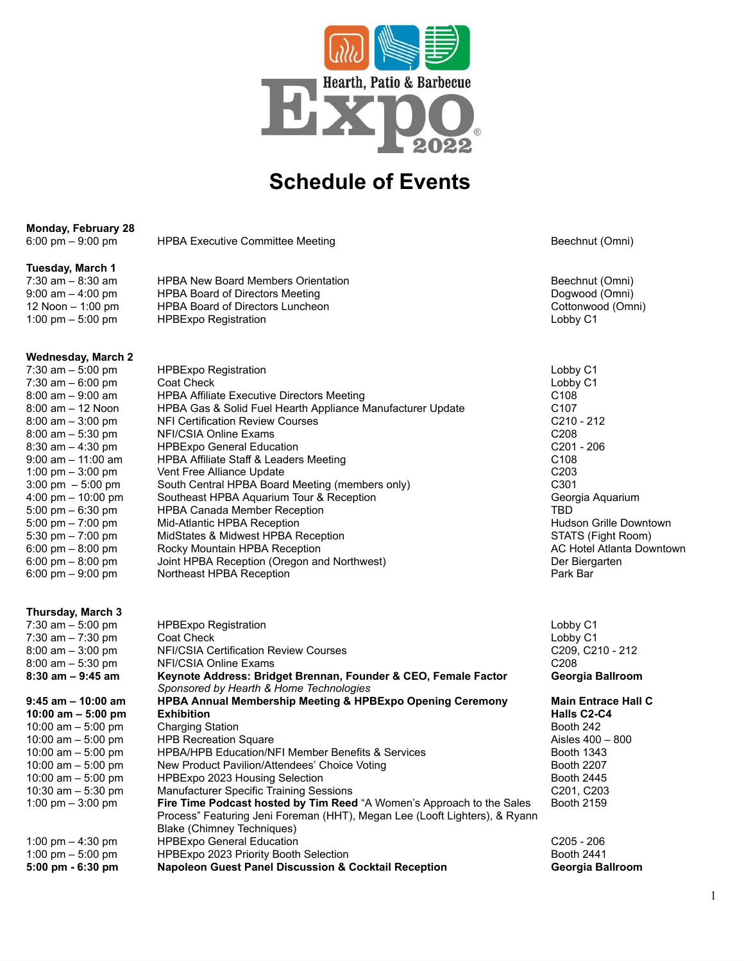

# **Schedule of Events**

## **Monday, February 28**

|  |  | $6:00 \text{ pm} - 9:00 \text{ pm}$ |  |
|--|--|-------------------------------------|--|
|--|--|-------------------------------------|--|

HPBA Executive Committee Meeting exercise of the exercise of the Beechnut (Omni)

## **Tuesday, March 1**

| 7:30 am – 8:30 am    | HPBA New Board Members Orientation | Beechnut (Omni)   |
|----------------------|------------------------------------|-------------------|
| $9:00$ am $-4:00$ pm | HPBA Board of Directors Meeting    | Dogwood (Omni)    |
| 12 Noon $-$ 1:00 pm  | HPBA Board of Directors Luncheon   | Cottonwood (Omni) |
| 1:00 pm $-$ 5:00 pm  | HPBExpo Registration               | Lobby C1          |

### **Wednesday, March 2**

| 7:30 am $-5:00$ pm                   | <b>HPBExpo Registration</b>                                | Lobby C1                      |
|--------------------------------------|------------------------------------------------------------|-------------------------------|
| 7:30 am $-6:00$ pm                   | Coat Check                                                 | Lobby C1                      |
| $8:00$ am $-9:00$ am                 | <b>HPBA Affiliate Executive Directors Meeting</b>          | C <sub>108</sub>              |
| $8:00$ am $-12$ Noon                 | HPBA Gas & Solid Fuel Hearth Appliance Manufacturer Update | C <sub>107</sub>              |
| $8:00$ am $-3:00$ pm                 | NFI Certification Review Courses                           | $C210 - 212$                  |
| $8:00$ am $-5:30$ pm                 | NFI/CSIA Online Exams                                      | C <sub>208</sub>              |
| $8:30$ am $-4:30$ pm                 | <b>HPBExpo General Education</b>                           | $C201 - 206$                  |
| $9:00$ am $-11:00$ am                | HPBA Affiliate Staff & Leaders Meeting                     | C <sub>108</sub>              |
| 1:00 pm $-$ 3:00 pm                  | Vent Free Alliance Update                                  | C <sub>203</sub>              |
| $3:00 \text{ pm } -5:00 \text{ pm }$ | South Central HPBA Board Meeting (members only)            | C <sub>301</sub>              |
| $4:00 \text{ pm} - 10:00 \text{ pm}$ | Southeast HPBA Aquarium Tour & Reception                   | Georgia Aquarium              |
| $5:00 \text{ pm} - 6:30 \text{ pm}$  | <b>HPBA Canada Member Reception</b>                        | TBD                           |
| $5:00 \text{ pm} - 7:00 \text{ pm}$  | Mid-Atlantic HPBA Reception                                | <b>Hudson Grille Downtown</b> |
| 5:30 pm $-7:00$ pm                   | MidStates & Midwest HPBA Reception                         | STATS (Fight Room)            |
| $6:00 \text{ pm} - 8:00 \text{ pm}$  | Rocky Mountain HPBA Reception                              | AC Hotel Atlanta Downtown     |
| $6:00 \text{ pm} - 8:00 \text{ pm}$  | Joint HPBA Reception (Oregon and Northwest)                | Der Biergarten                |
| $6:00 \text{ pm} - 9:00 \text{ pm}$  | Northeast HPBA Reception                                   | Park Bar                      |
|                                      |                                                            |                               |

### **Thursday, March 3**

| 7:30 am $-5:00$ pm                  | <b>HPBExpo Registration</b>                                                | Lobby C1                             |
|-------------------------------------|----------------------------------------------------------------------------|--------------------------------------|
| 7:30 am $-7:30$ pm                  | Coat Check                                                                 | Lobby C1                             |
| $8:00$ am $-3:00$ pm                | NFI/CSIA Certification Review Courses                                      | C209, C210 - 212                     |
| $8:00$ am $-5:30$ pm                | NFI/CSIA Online Exams                                                      | C <sub>208</sub>                     |
| $8:30$ am $-9:45$ am                | Keynote Address: Bridget Brennan, Founder & CEO, Female Factor             | Georgia Ballroom                     |
|                                     | Sponsored by Hearth & Home Technologies                                    |                                      |
| $9:45$ am $-10:00$ am               | <b>HPBA Annual Membership Meeting &amp; HPBExpo Opening Ceremony</b>       | <b>Main Entrace Hall C</b>           |
| 10:00 am $-5:00$ pm                 | <b>Exhibition</b>                                                          | Halls C <sub>2</sub> -C <sub>4</sub> |
| 10:00 am $-$ 5:00 pm                | <b>Charging Station</b>                                                    | Booth 242                            |
| 10:00 am $-$ 5:00 pm                | <b>HPB Recreation Square</b>                                               | Aisles 400 - 800                     |
| 10:00 am $-$ 5:00 pm                | HPBA/HPB Education/NFI Member Benefits & Services                          | Booth 1343                           |
| 10:00 am $-$ 5:00 pm                | New Product Pavilion/Attendees' Choice Voting                              | <b>Booth 2207</b>                    |
| 10:00 am $-$ 5:00 pm                | HPBExpo 2023 Housing Selection                                             | <b>Booth 2445</b>                    |
| 10:30 am $-$ 5:30 pm                | <b>Manufacturer Specific Training Sessions</b>                             | C <sub>201</sub> , C <sub>203</sub>  |
| 1:00 pm $-$ 3:00 pm                 | Fire Time Podcast hosted by Tim Reed "A Women's Approach to the Sales      | <b>Booth 2159</b>                    |
|                                     | Process" Featuring Jeni Foreman (HHT), Megan Lee (Looft Lighters), & Ryann |                                      |
|                                     | Blake (Chimney Techniques)                                                 |                                      |
| 1:00 pm $-$ 4:30 pm                 | <b>HPBExpo General Education</b>                                           | $C205 - 206$                         |
| 1:00 pm $-$ 5:00 pm                 | HPBExpo 2023 Priority Booth Selection                                      | <b>Booth 2441</b>                    |
| $5:00 \text{ pm} - 6:30 \text{ pm}$ | <b>Napoleon Guest Panel Discussion &amp; Cocktail Reception</b>            | Georgia Ballroom                     |